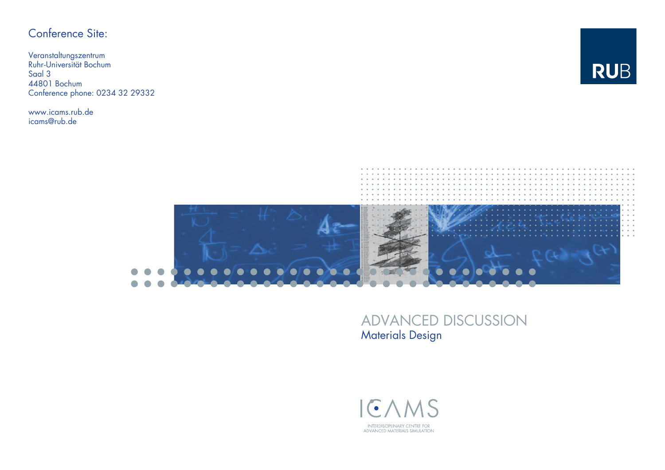## Conference Site:

Veranstaltungszentrum Ruhr-Universität Bochum Saal 3 44801 BochumConference phone: 0234 32 29332

www.icams.rub.de icams@rub.de





## ADVANCED DISCUSSION Materials Design